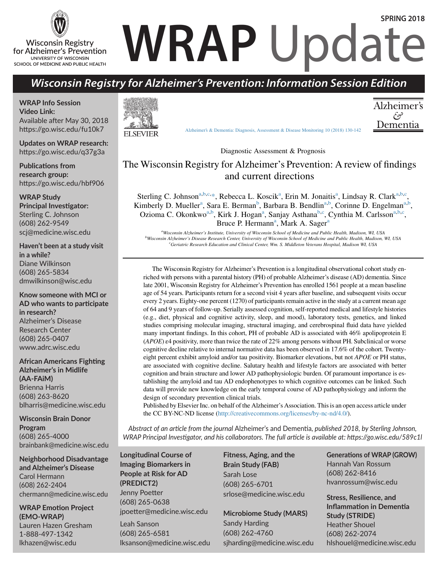#### **Wisconsin Registry** for Alzheimer's Prevention UNIVERSITY OF WISCONSIN SCHOOL OF MEDICINE AND PUBLIC HEALTH

# **WRAP** Update **SPRING 2018**

### *Wisconsin Registry for Alzheimer's Prevention: Information Session Edition*

**WRAP Info Session Video Link:** Available after May 30, 2018 https://go.wisc.edu/fu10k7

**Updates on WRAP research:** https://go.wisc.edu/q37g3a

**Publications from research group:** https://go.wisc.edu/hbf906

**WRAP Study Principal Investigator:** Sterling C. Johnson (608) 262-9549 scj@medicine.wisc.edu

**Haven't been at a study visit in a while?** Diane Wilkinson (608) 265-5834 dmwilkinson@wisc.edu

**Know someone with MCI or AD who wants to participate in research?** Alzheimer's Disease Research Center (608) 265-0407 www.adrc.wisc.edu

**African Americans Fighting Alzheimer's in Midlife (AA-FAiM)** Brienna Harris (608) 263-8620 blharris@medicine.wisc.edu

**Wisconsin Brain Donor Program** (608) 265-4000 brainbank@medicine.wisc.edu

**Neighborhood Disadvantage and Alzheimer's Disease** Carol Hermann (608) 262-2404 chermann@medicine.wisc.edu

**WRAP Emotion Project (EMO-WRAP)** Lauren Hazen Gresham 1-888-497-1342 lkhazen@wisc.edu



Alzheimer's & Dementia: Diagnosis, Assessment & Disease Monitoring 10 (2018) 130-142

Al $\overline{a}$ فيح Dementia

Diagnostic Assessment & Prognosis The Wisconsin Registry for Alzheimer's Prevention: A review of findings

#### The Wisconsin Registry for Alzheimer's Prevention: A review of findings and current directions Sterling C. Johnsona,b,c,  $\frac{m}{2}$  $\frac{1}{\sqrt{2}}$

Sterling C. Johnson<sup>a,b,c,\*</sup>, Rebecca L. Koscik<sup>a</sup>, Erin M. Jonaitis<sup>a</sup>, Lindsay R. Clark<sup>a,b,c</sup>, Kimberly D. Mueller<sup>a</sup>, Sara E. Berman<sup>b</sup>, Barbara B. Bendlin<sup>a,b</sup>, Corinne D. Engelman<sup>a,b</sup>, Ozioma C. Okonkwo<sup>a,b</sup>, Kirk J. Hogan<sup>a</sup>, Sanjay Asthana<sup>b,c</sup>, Cynthia M. Carlsson<sup>a,b,c</sup>,<br>
Pruce P. Hermann<sup>a</sup>, Mark A. Sager<sup>a</sup> Bruce P. Hermann<sup>a</sup>, Mark A. Sager<sup>a</sup>

a<br>Wisconsin Alzheimer's Institute, University of Wisconsin School of Medicine and Public Health, Madison, WI, USA <sup>b</sup>Wisconsin Alzheimer's Disease Research Center, University of Wisconsin School of Medicine and Public Health, Madison, WI, USA Geriatric Research Education and Clinical Center, Wm. S. Middleton Veterans Hospital, Madison WI, USA Geriatric Research Education and Clinical Center, Wm. S. Middleton Veterans Hospital, Madison WI, USA

Abstract The Wisconsin Registry for Alzheimer's Prevention is a longitudinal observational cohort study en-The Wisconsin Registry for Alzheimer's Prevention is a longitudinal observational cohort study enriched with persons with a parental history (PH) of probable Alzheimer's disease (AD) dementia. Since late 2001, Wisconsin Registry for Alzheimer's Prevention has enrolled 1561 people at a mean baseline age of 54 years. Participants return for a second visit 4 years after baseline, and subsequent visits occur  $\overline{\phantom{a}}$  and  $\overline{\phantom{a}}$  (1270), sensitive assessed completely assessed medical and lifestyle histories  $\overline{\phantom{a}}$ every 2 years. Eighty-one percent (1270) of participants remain active in the study at a current mean age of 64 and 9 years of follow-up. Serially assessed cognition, self-reported medical and lifestyle histories (e.g., diet, physical and cognitive activity, sleep, and mood), laboratory tests, genetics, and linked studies comprising molecular imaging, structural imaging, and cerebrospinal fluid data have yielded  $\frac{1}{2}$  relative to the cohort. PU of the cohort  $\frac{1}{2}$  has accessed with  $\frac{160}{100}$  or the cohort. many important findings. In this cohort, PH of probable AD is associated with 46% apolipoprotein E (APOE) ε4 positivity, more than twice the rate of 22% among persons without PH. Subclinical or worse<br>cognitive decline relative to internal normative data has been observed in 17.6% of the cobort. Twentycognitive decline relative to internal normative data has been observed in  $17.6\%$  of the cohort. Twentyeight percent exhibit amyloid and/or tau positivity. Biomarker elevations, but not APOE or PH status, are associated with cognitive decline. Salutary health and lifestyle factors are associated with better design of secondary prevention clinical trials. cognition and brain structure and lower AD pathophysiologic burden. Of paramount importance is establishing the amyloid and tau AD endophenotypes to which cognitive outcomes can be linked. Such data will provide new knowledge on the early temporal course of AD pathophysiology and inform the design of secondary prevention clinical trials.

> the CC BY-NC-ND license (http://creativecommons.org/licenses/by-nc-nd/4.0/). Published by Elsevier Inc. on behalf of the Alzheimer's Association. This is an open access article under

Abstract of an article from the journal Alzheimer's and Dementia, published 2018, by Sterling Johnson, WRAP Principal Investigator, and his collaborators. The full article is available at: https://go.wisc.edu/589c1l Abstract of an article from the journal Alzheimer's and Dementia, published 2018, by Sterling Johnson,

aged people who may later develop AD dementia are relantage longitudinal Course of **Fitness, Aging**<br> **EDICT2)** (608) 265-6701 e-mail address: sc.edu<br>Finny Poetter of changes in late-middle-sc.edu Jenny Poetter (608) 265-0638 jpoetter@medicine.wisc.edu **Imaging Biomarkers in People at Risk for AD Sarah Lose (PREDICT2)** (608) 265-676 srlose@medicine.wisc.edu aged people who may later develop AD dementia are relatively uncertainty  $\frac{1}{\sqrt{1-\frac{1}{2}}}\left\{ \frac{1}{2}\left( \frac{1}{2}\right)^{2} \right\}$ 

neuropathobiological course of changes in late-middle-

Leah Sanson (608) 265-6581 <sub>l</sub>ood, 2007<br>Iksanson@medicine.wisc.edu sjharding iksanson@medicine.wis

decline and to characterize midlife factors associated with **Fitness, Aging, and the Brain Study (FAB)** Sarah Lose

**Microbiome Study (MARS)**

Sandy Harding (608) 262-4760 sjharding@medicine.wisc.edu

**budge idens cohort of superations of WRAP (GROW)** nated, and that is enriched with risk for late-onset AD due tempo and predictors of its progression charto parental history (PH) of AD demonstrate  $\frac{1}{2}$  $(608)$  262-8416 hvanrossum@wisc.edu are to identify early for Alzheimer's Prevention Registry for Alzheimer's Prevention Regis

 $\sim$  1001  $\sim$  2001  $\sim$  2001  $\sim$  2001  $\sim$  2001  $\sim$ 

ess, 200 0000<br>noetter@medicine.wisc.edu Microbiano Study (MARS) **Stress, Resilience, and Stress, Resilience, and** (MARS) Study (STRIDE) serves as a registry for linked studies. The overarching goals were registry for  $\mathbb{R}^n$  $(608)$  262-2074 are to identify early computed the study  $(608)$ e.wisc.edu hlshouel@medicine.wisc.edu  $\frac{d}{dx}$